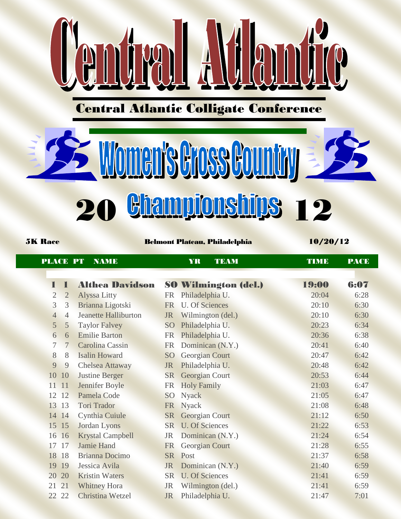

Comma Alamic

# **SEE Women's Gross Country 35 20 Hampionships 12**

5K Race Belmont Plateau, Philadelphia 10/20/12

| <b>PLACE PT</b> |                | <b>NAME</b>                 |           | YR<br><b>TEAM</b>           | <b>TIME</b> | <b>PACE</b> |
|-----------------|----------------|-----------------------------|-----------|-----------------------------|-------------|-------------|
| T               | $\mathbf I$    | <b>Althea Davidson</b>      |           | <b>SO Wilmington (del.)</b> | 19:00       | 6:07        |
| $\overline{2}$  | $\overline{2}$ | <b>Alyssa Litty</b>         | FR        | Philadelphia U.             | 20:04       | 6:28        |
| $\overline{3}$  | 3              | Brianna Ligotski            | <b>FR</b> | <b>U. Of Sciences</b>       | 20:10       | 6:30        |
| $\overline{4}$  | $\overline{4}$ | <b>Jeanette Halliburton</b> | <b>JR</b> | Wilmington (del.)           | 20:10       | 6:30        |
| 5               | 5              | <b>Taylor Falvey</b>        | <b>SO</b> | Philadelphia U.             | 20:23       | 6:34        |
| $6\overline{6}$ | 6              | <b>Emilie Barton</b>        | <b>FR</b> | Philadelphia U.             | 20:36       | 6:38        |
| $\overline{7}$  | $\overline{7}$ | Carolina Cassin             | <b>FR</b> | Dominican (N.Y.)            | 20:41       | 6:40        |
| 8               | 8              | <b>Isalin Howard</b>        | <b>SO</b> | Georgian Court              | 20:47       | 6:42        |
| 9               | 9              | Chelsea Attaway             | <b>JR</b> | Philadelphia U.             | 20:48       | 6:42        |
| 10              | 10             | <b>Justine Berger</b>       | <b>SR</b> | <b>Georgian Court</b>       | 20:53       | 6:44        |
| 11 11           |                | Jennifer Boyle              | <b>FR</b> | <b>Holy Family</b>          | 21:03       | 6:47        |
|                 | 12 12          | Pamela Code                 | <b>SO</b> | <b>Nyack</b>                | 21:05       | 6:47        |
|                 | 13 13          | <b>Tori Trador</b>          |           | FR Nyack                    | 21:08       | 6:48        |
|                 | 14 14          | Cynthia Cuiule              | <b>SR</b> | Georgian Court              | 21:12       | 6:50        |
|                 | 15 15          | Jordan Lyons                | <b>SR</b> | <b>U. Of Sciences</b>       | 21:22       | 6:53        |
| 16              | 16             | <b>Krystal Campbell</b>     | <b>JR</b> | Dominican (N.Y.)            | 21:24       | 6:54        |
| 17              | 17             | <b>Jamie Hand</b>           | <b>FR</b> | <b>Georgian Court</b>       | 21:28       | 6:55        |
| 18              | 18             | <b>Brianna Docimo</b>       | <b>SR</b> | Post                        | 21:37       | 6:58        |
| 19              | 19             | Jessica Avila               | <b>JR</b> | Dominican (N.Y.)            | 21:40       | 6:59        |
| 20              | 20             | <b>Kristin Waters</b>       | <b>SR</b> | <b>U. Of Sciences</b>       | 21:41       | 6:59        |
| 21              | 21             | <b>Whitney Hora</b>         | <b>JR</b> | Wilmington (del.)           | 21:41       | 6:59        |
| 22              | 22             | Christina Wetzel            | <b>JR</b> | Philadelphia U.             | 21:47       | 7:01        |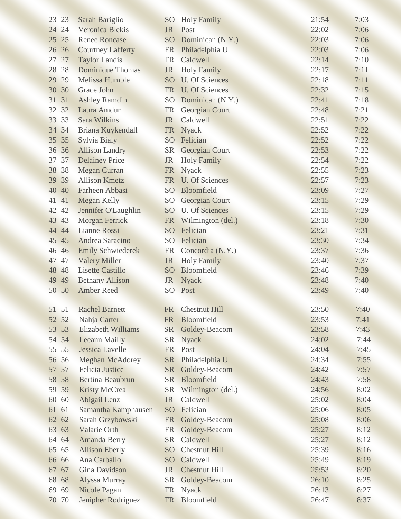| 23 23    | Sarah Bariglio            | SO <sub>1</sub> | <b>Holy Family</b>    | 21:54 | 7:03 |
|----------|---------------------------|-----------------|-----------------------|-------|------|
| 24 24    | <b>Veronica Blekis</b>    | <b>JR</b>       | Post                  | 22:02 | 7:06 |
| 25<br>25 | <b>Renee Roncase</b>      | S <sub>O</sub>  | Dominican (N.Y.)      | 22:03 | 7:06 |
| 26 26    | <b>Courtney Lafferty</b>  |                 | FR Philadelphia U.    | 22:03 | 7:06 |
| 27<br>27 | <b>Taylor Landis</b>      | <b>FR</b>       | Caldwell              | 22:14 | 7:10 |
| 28 28    | <b>Dominique Thomas</b>   | <b>JR</b>       | <b>Holy Family</b>    | 22:17 | 7:11 |
| 29<br>29 | <b>Melissa Humble</b>     | <b>SO</b>       | <b>U. Of Sciences</b> | 22:18 | 7:11 |
| 30 30    | <b>Grace John</b>         | <b>FR</b>       | <b>U. Of Sciences</b> | 22:32 | 7:15 |
| 31 31    | <b>Ashley Ramdin</b>      | SO <sub>1</sub> | Dominican (N.Y.)      | 22:41 | 7:18 |
| 32 32    | Laura Amdur               | <b>FR</b>       | <b>Georgian Court</b> | 22:48 | 7:21 |
| 33 33    | <b>Sara Wilkins</b>       | <b>JR</b>       | Caldwell              | 22:51 | 7:22 |
| 34 34    | Briana Kuykendall         | <b>FR</b>       | <b>Nyack</b>          | 22:52 | 7:22 |
| 35 35    | Sylvia Bialy              | SO <sub>1</sub> | Felician              | 22:52 | 7:22 |
| 36 36    | <b>Allison Landry</b>     | <b>SR</b>       | <b>Georgian Court</b> | 22:53 | 7:22 |
| 37 37    | <b>Delainey Price</b>     | <b>JR</b>       | <b>Holy Family</b>    | 22:54 | 7:22 |
| 38 38    | <b>Megan Curran</b>       | <b>FR</b>       | Nyack                 | 22:55 | 7:23 |
| 39 39    | <b>Allison Kmetz</b>      | <b>FR</b>       | <b>U. Of Sciences</b> | 22:57 | 7:23 |
| 40 40    | Farheen Abbasi            | SO <sub>1</sub> | Bloomfield            | 23:09 | 7:27 |
| 41<br>41 | <b>Megan Kelly</b>        | <b>SO</b>       | <b>Georgian Court</b> | 23:15 | 7:29 |
| 42 42    | Jennifer O'Laughlin       | <b>SO</b>       | <b>U. Of Sciences</b> | 23:15 | 7:29 |
| 43 43    | <b>Morgan Ferrick</b>     | <b>FR</b>       | Wilmington (del.)     | 23:18 | 7:30 |
| 44 44    | <b>Lianne Rossi</b>       | SO              | Felician              | 23:21 | 7:31 |
| 45 45    | Andrea Saracino           | S <sub>O</sub>  | Felician              | 23:30 | 7:34 |
| 46 46    | <b>Emily Schwiederek</b>  | <b>FR</b>       | Concordia (N.Y.)      | 23:37 | 7:36 |
| 47 47    | <b>Valery Miller</b>      | JR              | <b>Holy Family</b>    | 23:40 | 7:37 |
| 48 48    | <b>Lisette Castillo</b>   | <b>SO</b>       | Bloomfield            | 23:46 | 7:39 |
| 49 49    | <b>Bethany Allison</b>    | <b>JR</b>       | <b>Nyack</b>          | 23:48 | 7:40 |
| 50 50    | <b>Amber Reed</b>         | <b>SO</b>       | Post                  | 23:49 | 7:40 |
|          |                           |                 |                       |       |      |
| 51 51    | <b>Rachel Barnett</b>     | <b>FR</b>       | <b>Chestnut Hill</b>  | 23:50 | 7:40 |
| 52 52    | Nahja Carter              | <b>FR</b>       | Bloomfield            | 23:53 | 7:41 |
| 53 53    | <b>Elizabeth Williams</b> | <b>SR</b>       | Goldey-Beacom         | 23:58 | 7:43 |
| 54 54    | Leeann Mailly             | <b>SR</b>       | <b>Nyack</b>          | 24:02 | 7:44 |
| 55 55    | Jessica Lavelle           | <b>FR</b>       | Post                  | 24:04 | 7:45 |
| 56 56    | <b>Meghan McAdorey</b>    | <b>SR</b>       | Philadelphia U.       | 24:34 | 7:55 |
| 57<br>57 | <b>Felicia Justice</b>    | <b>SR</b>       | Goldey-Beacom         | 24:42 | 7:57 |
| 58 58    | <b>Bertina Beaubrun</b>   | <b>SR</b>       | Bloomfield            | 24:43 | 7:58 |
| 59 59    | <b>Kristy McCrea</b>      | <b>SR</b>       | Wilmington (del.)     | 24:56 | 8:02 |
| 60 60    | <b>Abigail Lenz</b>       | <b>JR</b>       | Caldwell              | 25:02 | 8:04 |
| 61<br>61 | Samantha Kamphausen       | <b>SO</b>       | Felician              | 25:06 | 8:05 |
| 62 62    | Sarah Grzybowski          | <b>FR</b>       | Goldey-Beacom         | 25:08 | 8:06 |
| 63 63    | Valarie Orth              | <b>FR</b>       | Goldey-Beacom         | 25:27 | 8:12 |
| 64 64    | <b>Amanda Berry</b>       | <b>SR</b>       | Caldwell              | 25:27 | 8:12 |
| 65<br>65 | <b>Allison Eberly</b>     | <b>SO</b>       | <b>Chestnut Hill</b>  | 25:39 | 8:16 |
| 66 66    | Ana Carballo              | <b>SO</b>       | Caldwell              | 25:49 | 8:19 |
| 67<br>67 | <b>Gina Davidson</b>      | <b>JR</b>       | <b>Chestnut Hill</b>  | 25:53 | 8:20 |
| 68<br>68 | Alyssa Murray             | <b>SR</b>       | Goldey-Beacom         | 26:10 | 8:25 |
| 69 69    | <b>Nicole Pagan</b>       | <b>FR</b>       | <b>Nyack</b>          | 26:13 | 8:27 |
| 70<br>70 | Jenipher Rodriguez        | FR              | Bloomfield            | 26:47 | 8:37 |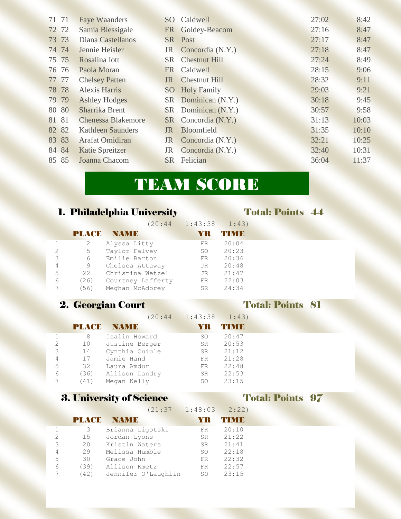| 71 71 |       | <b>Faye Waanders</b>      | $SO_{\odot}$    | Caldwell             | 27:02 | 8:42  |
|-------|-------|---------------------------|-----------------|----------------------|-------|-------|
|       | 72 72 | Samia Blessigale          | <b>FR</b>       | Goldey-Beacom        | 27:16 | 8:47  |
|       | 73 73 | Diana Castellanos         |                 | SR Post              | 27:17 | 8:47  |
|       | 74 74 | Jennie Heisler            | JR              | Concordia (N.Y.)     | 27:18 | 8:47  |
|       | 75 75 | Rosalina Iott             | <b>SR</b>       | <b>Chestnut Hill</b> | 27:24 | 8:49  |
|       | 76 76 | Paola Moran               |                 | FR Caldwell          | 28:15 | 9:06  |
|       | 77 77 | <b>Chelsey Patten</b>     | JR              | <b>Chestnut Hill</b> | 28:32 | 9:11  |
|       | 78 78 | <b>Alexis Harris</b>      | SO <sub>1</sub> | <b>Holy Family</b>   | 29:03 | 9:21  |
|       | 79 79 | <b>Ashley Hodges</b>      |                 | SR Dominican (N.Y.)  | 30:18 | 9:45  |
|       | 80 80 | Sharrika Brent            |                 | SR Dominican (N.Y.)  | 30:57 | 9:58  |
| 81 81 |       | <b>Chenessa Blakemore</b> |                 | SR Concordia (N.Y.)  | 31:13 | 10:03 |
|       | 82 82 | <b>Kathleen Saunders</b>  | <b>JR</b>       | Bloomfield           | 31:35 | 10:10 |
|       | 83 83 | Arafat Omidiran           | <b>JR</b>       | Concordia (N.Y.)     | 32:21 | 10:25 |
|       | 84 84 | Katie Spreitzer           | <b>JR</b>       | Concordia (N.Y.)     | 32:40 | 10:31 |
|       | 85 85 | Joanna Chacom             |                 | <b>SR</b> Felician   | 36:04 | 11:37 |
|       |       |                           |                 |                      |       |       |

# TEAM SCORE

|   |       | 1. Philadelphia University |                    | <b>Total: Points 44</b> |
|---|-------|----------------------------|--------------------|-------------------------|
|   |       |                            | $(20:44$ $1:43:38$ | 1:43)                   |
|   | PLACE | <b>NAMIE</b>               | YR                 | <b>THRIB</b>            |
|   | 2     | Alyssa Litty               | FR                 | 20:04                   |
| 2 | 5     | Taylor Falvey              | SO                 | 20:23                   |
| 3 | 6     | Emilie Barton              | FR                 | 20:36                   |
| 4 | 9     | Chelsea Attaway            | JR.                | 20:48                   |
| 5 | 22    | Christina Wetzel           | JR                 | 21:47                   |
| 6 | (26)  | Courtney Lafferty          | FR.                | 22:03                   |
|   | (56)  | Meghan McAdorey            | SR.                | 24:34                   |

### 2. Georgian Court Total: Points 81

### (20:44 1:43:38 1:43) PLACE NAME YR TIME 1 8 Isalin Howard SO 20:47 2 10 Justine Berger SR 20:53 3 14 Cynthia Cuiule SR 21:12 4 17 Jamie Hand FR 21:28 5 32 Laura Amdur FR 22:48 6 (36) Allison Landry SR 22:53 7 (41) Megan Kelly SO 23:15

### 3. University of Science Total: Points 97

## $(21.37 \quad 1.48.03 \quad 2.22)$

|               |              | 1 4 4 5 J 7         | $\bot$ . $\bot$ $\cup$ $\cup$ | $L \bullet L L$ |
|---------------|--------------|---------------------|-------------------------------|-----------------|
|               | <b>PLACE</b> | NAMI B              |                               | <b>THININ</b>   |
|               | 3            | Brianna Ligotski    | FR                            | 20:10           |
| $\mathcal{D}$ | 15           | Jordan Lyons        | SR.                           | 21:22           |
| 3             | 20           | Kristin Waters      | SR                            | 21:41           |
| 4             | 29           | Melissa Humble      | SO.                           | 22:18           |
| 5             | 30           | Grace John          | FR.                           | 22:32           |
| 6             | (39)         | Allison Kmetz       | FR.                           | 22:57           |
| Ξ             | (42)         | Jennifer O'Laughlin | SO.                           | 23:15           |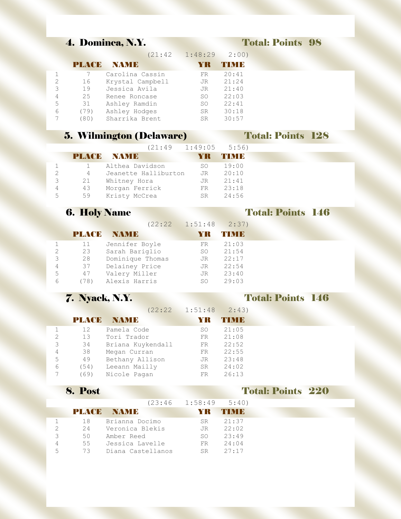### 4. Dominca, N.Y. Total: Points 98

|   |               | (21:42)          | $1:48:29$ $2:00)$ |           |
|---|---------------|------------------|-------------------|-----------|
|   | <b>PLAYER</b> | NAM B            |                   | T N N I B |
|   |               | Carolina Cassin  | FR                | 20:41     |
| 2 | 16            | Krystal Campbell | JR.               | 21:24     |
| 3 | 19            | Jessica Avila    | JR.               | 21:40     |
| 4 | 25            | Renee Roncase    | SO.               | 22:03     |
| 5 | 31            | Ashley Ramdin    | SO.               | 22:41     |
| 6 | (79)          | Ashley Hodges    | SR.               | 30:18     |
|   |               | Sharrika Brent   | <b>SR</b>         | 30:57     |

### 5. Wilmington (Delaware) Total: Points 128

|   |    | $(21:49 \t1:49:05 \t5:56)$ |     |              |
|---|----|----------------------------|-----|--------------|
|   |    | <b>PLACE NAME</b>          | YR  | <b>TNNID</b> |
|   |    | Althea Davidson            | SO. | 19:00        |
|   | 4  | Jeanette Halliburton       | JR  | 20:10        |
| ₹ | 21 | Whitney Hora               | JR. | 21:41        |
| 4 | 43 | Morgan Ferrick             | FR  | 23:18        |
| 5 | 59 | Kristy McCrea              | SR. | 24:56        |

### **6. Holy Name Total: Points 146**

(22:22 1:51:48 2:37)

|          | PLACE  | NAMI B           |           | 4 Y N J B |
|----------|--------|------------------|-----------|-----------|
| 1.       | 11     | Jennifer Boyle   | FR.       | 21:03     |
|          | 23     | Sarah Bariglio   | SO        | 21:54     |
| ₹        | 28     | Dominique Thomas | <b>JR</b> | 22:17     |
| $\Delta$ | 37     | Delainey Price   | JR.       | 22:54     |
| 5        | 47     | Valery Miller    | <b>JR</b> | 23:40     |
| 6        | $+781$ | Alexis Harris    | SO        | 29:03     |

### 7. Nyack, N.Y. Total: Points 146

|   |       | (22:22)           | 1:51:48 | 2:43) |
|---|-------|-------------------|---------|-------|
|   | PLACE | NAMI D            | YR      | TIMB  |
|   | 12    | Pamela Code       | SO.     | 21:05 |
|   | 13    | Tori Trador       | FR.     | 21:08 |
| 3 | 34    | Briana Kuykendall | FR      | 22:52 |
| 4 | 38    | Megan Curran      | FR      | 22:55 |
| 5 | 49    | Bethany Allison   | JR.     | 23:48 |
| 6 | (54)  | Leeann Mailly     | SR.     | 24:02 |
|   | (69)  | Nicole Pagan      | FR      | 26:13 |

### 8. Post Total: Points 220

|   |     |                   | $(23:46$ 1:58:49 5:40) |               |
|---|-----|-------------------|------------------------|---------------|
|   |     | <b>PLACE NAME</b> | AY RE                  | <b>THINTE</b> |
|   | 18  | Brianna Docimo    | SR                     | 21:37         |
|   | 2.4 | Veronica Blekis   | JR                     | 22:02         |
| 3 | 50  | Amber Reed        |                        | $SO \t 23:49$ |
| 4 | 55  | Jessica Lavelle   | FR                     | 24:04         |
| 5 | 73  | Diana Castellanos | SR                     | 27:17         |